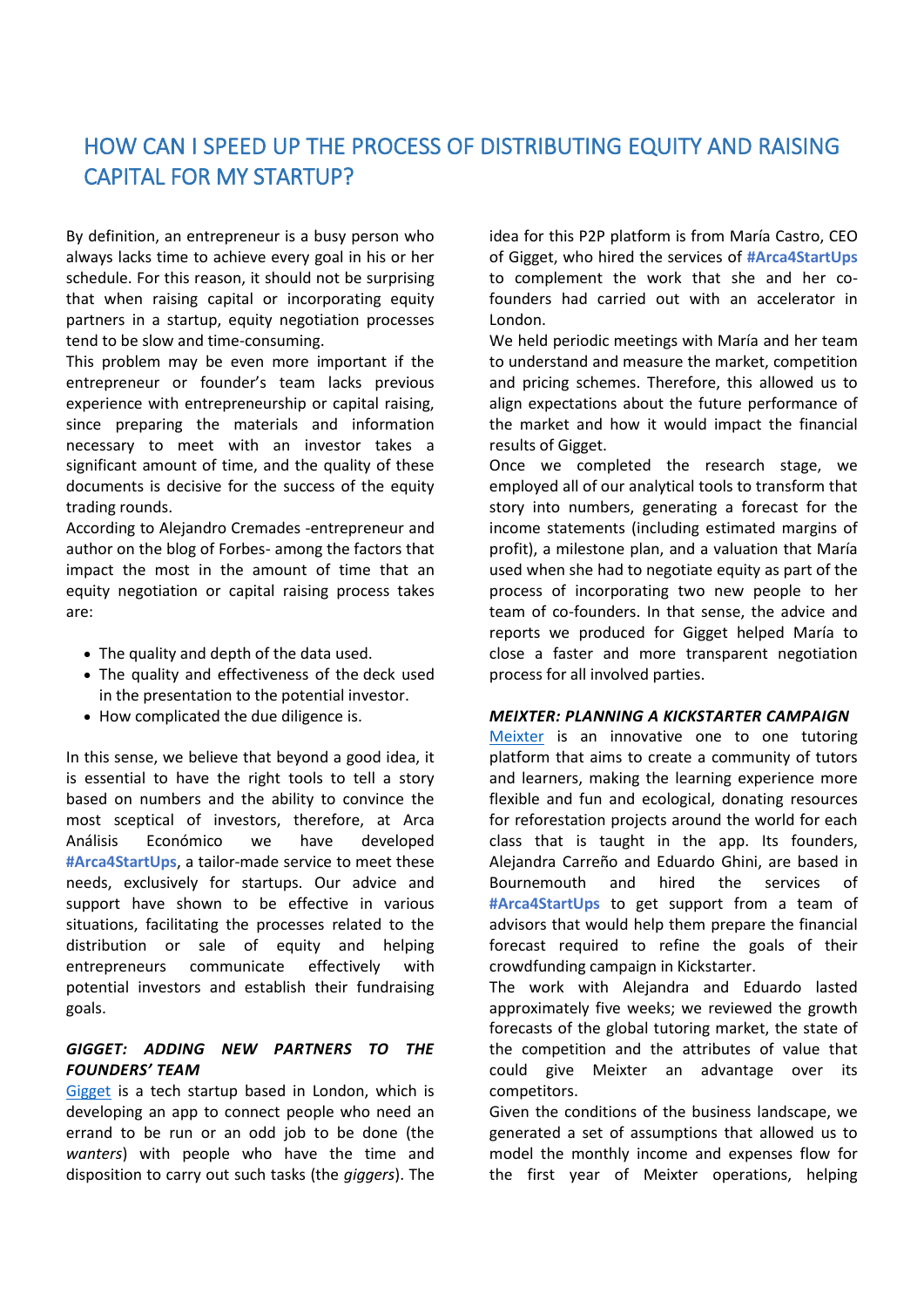## HOW CAN I SPEED UP THE PROCESS OF DISTRIBUTING EQUITY AND RAISING CAPITAL FOR MY STARTUP?

By definition, an entrepreneur is a busy person who always lacks time to achieve every goal in his or her schedule. For this reason, it should not be surprising that when raising capital or incorporating equity partners in a startup, equity negotiation processes tend to be slow and time-consuming.

This problem may be even more important if the entrepreneur or founder's team lacks previous experience with entrepreneurship or capital raising, since preparing the materials and information necessary to meet with an investor takes a significant amount of time, and the quality of these documents is decisive for the success of the equity trading rounds.

According to Alejandro Cremades -entrepreneur and author on the blog of Forbes- among the factors that impact the most in the amount of time that an equity negotiation or capital raising process takes are:

- The quality and depth of the data used.
- The quality and effectiveness of the deck used in the presentation to the potential investor.
- How complicated the due diligence is.

In this sense, we believe that beyond a good idea, it is essential to have the right tools to tell a story based on numbers and the ability to convince the most sceptical of investors, therefore, at Arca Análisis Económico we have developed **#Arca4StartUps**, a tailor-made service to meet these needs, exclusively for startups. Our advice and support have shown to be effective in various situations, facilitating the processes related to the distribution or sale of equity and helping entrepreneurs communicate effectively with potential investors and establish their fundraising goals.

## *GIGGET: ADDING NEW PARTNERS TO THE FOUNDERS' TEAM*

[Gigget](http://gigget.co.uk/) is a tech startup based in London, which is developing an app to connect people who need an errand to be run or an odd job to be done (the *wanters*) with people who have the time and disposition to carry out such tasks (the *giggers*). The idea for this P2P platform is from María Castro, CEO of Gigget, who hired the services of **#Arca4StartUps** to complement the work that she and her cofounders had carried out with an accelerator in London.

We held periodic meetings with María and her team to understand and measure the market, competition and pricing schemes. Therefore, this allowed us to align expectations about the future performance of the market and how it would impact the financial results of Gigget.

Once we completed the research stage, we employed all of our analytical tools to transform that story into numbers, generating a forecast for the income statements (including estimated margins of profit), a milestone plan, and a valuation that María used when she had to negotiate equity as part of the process of incorporating two new people to her team of co-founders. In that sense, the advice and reports we produced for Gigget helped María to close a faster and more transparent negotiation process for all involved parties.

## *MEIXTER: PLANNING A KICKSTARTER CAMPAIGN*

[Meixter](https://meixter.com/) is an innovative one to one tutoring platform that aims to create a community of tutors and learners, making the learning experience more flexible and fun and ecological, donating resources for reforestation projects around the world for each class that is taught in the app. Its founders, Alejandra Carreño and Eduardo Ghini, are based in Bournemouth and hired the services of **#Arca4StartUps** to get support from a team of advisors that would help them prepare the financial forecast required to refine the goals of their crowdfunding campaign in Kickstarter.

The work with Alejandra and Eduardo lasted approximately five weeks; we reviewed the growth forecasts of the global tutoring market, the state of the competition and the attributes of value that could give Meixter an advantage over its competitors.

Given the conditions of the business landscape, we generated a set of assumptions that allowed us to model the monthly income and expenses flow for the first year of Meixter operations, helping